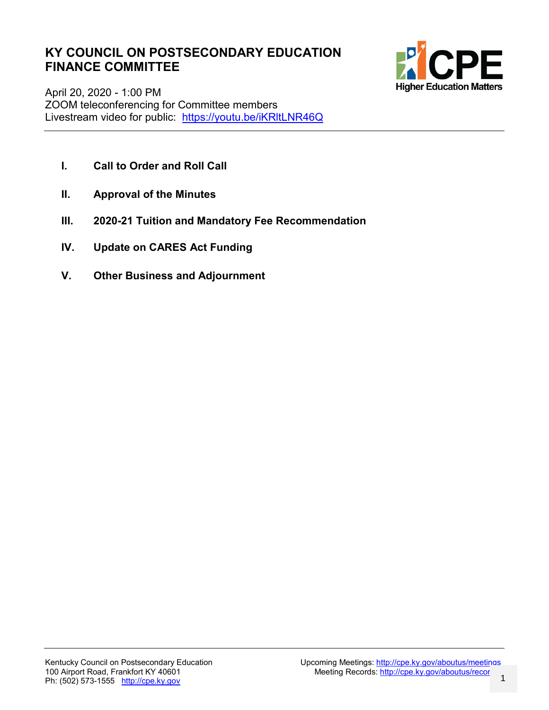# **KY COUNCIL ON POSTSECONDARY EDUCATION FINANCE COMMITTEE**



April 20, 2020 - 1:00 PM ZOOM teleconferencing for Committee members Livestream video for public: https://youtu.be/iKRItLNR46Q

- **I. Call to Order and Roll Call**
- **II. Approval of the Minutes**
- **III. 2020-21 Tuition and Mandatory Fee Recommendation**
- **IV. Update on CARES Act Funding**
- **V. Other Business and Adjournment**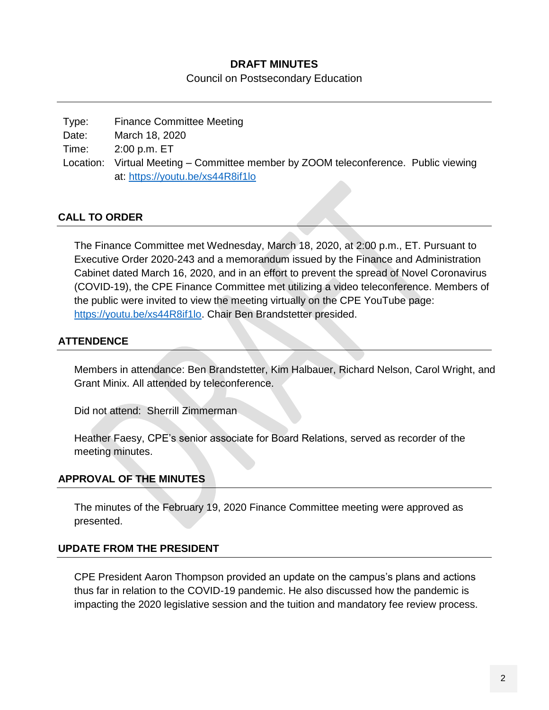#### **DRAFT MINUTES**

Council on Postsecondary Education

Type: Finance Committee Meeting Date: March 18, 2020 Time: 2:00 p.m. ET Location: Virtual Meeting – Committee member by ZOOM teleconference. Public viewing at:<https://youtu.be/xs44R8if1lo>

#### **CALL TO ORDER**

The Finance Committee met Wednesday, March 18, 2020, at 2:00 p.m., ET. Pursuant to Executive Order 2020-243 and a memorandum issued by the Finance and Administration Cabinet dated March 16, 2020, and in an effort to prevent the spread of Novel Coronavirus (COVID-19), the CPE Finance Committee met utilizing a video teleconference. Members of the public were invited to view the meeting virtually on the CPE YouTube page: [https://youtu.be/xs44R8if1lo.](https://youtu.be/xs44R8if1lo) Chair Ben Brandstetter presided.

#### **ATTENDENCE**

Members in attendance: Ben Brandstetter, Kim Halbauer, Richard Nelson, Carol Wright, and Grant Minix. All attended by teleconference.

Did not attend: Sherrill Zimmerman

Heather Faesy, CPE's senior associate for Board Relations, served as recorder of the meeting minutes.

#### **APPROVAL OF THE MINUTES**

The minutes of the February 19, 2020 Finance Committee meeting were approved as presented.

#### **UPDATE FROM THE PRESIDENT**

CPE President Aaron Thompson provided an update on the campus's plans and actions thus far in relation to the COVID-19 pandemic. He also discussed how the pandemic is impacting the 2020 legislative session and the tuition and mandatory fee review process.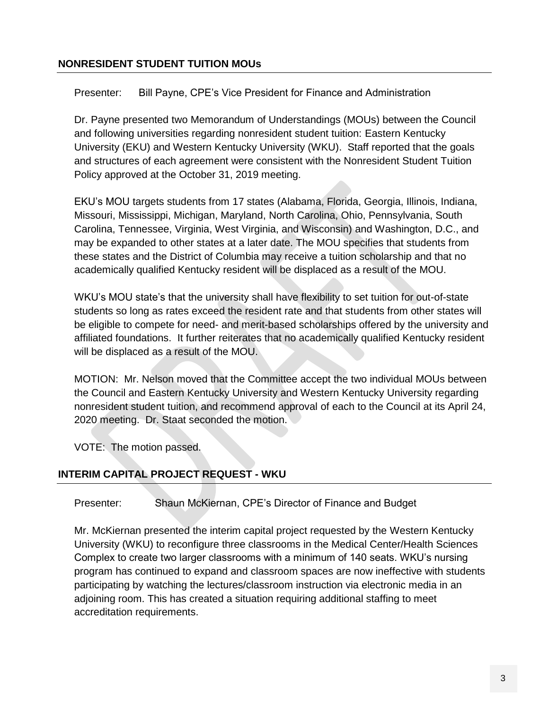#### **NONRESIDENT STUDENT TUITION MOUs**

Presenter: Bill Payne, CPE's Vice President for Finance and Administration

Dr. Payne presented two Memorandum of Understandings (MOUs) between the Council and following universities regarding nonresident student tuition: Eastern Kentucky University (EKU) and Western Kentucky University (WKU). Staff reported that the goals and structures of each agreement were consistent with the Nonresident Student Tuition Policy approved at the October 31, 2019 meeting.

EKU's MOU targets students from 17 states (Alabama, Florida, Georgia, Illinois, Indiana, Missouri, Mississippi, Michigan, Maryland, North Carolina, Ohio, Pennsylvania, South Carolina, Tennessee, Virginia, West Virginia, and Wisconsin) and Washington, D.C., and may be expanded to other states at a later date. The MOU specifies that students from these states and the District of Columbia may receive a tuition scholarship and that no academically qualified Kentucky resident will be displaced as a result of the MOU.

WKU's MOU state's that the university shall have flexibility to set tuition for out-of-state students so long as rates exceed the resident rate and that students from other states will be eligible to compete for need- and merit-based scholarships offered by the university and affiliated foundations. It further reiterates that no academically qualified Kentucky resident will be displaced as a result of the MOU.

MOTION: Mr. Nelson moved that the Committee accept the two individual MOUs between the Council and Eastern Kentucky University and Western Kentucky University regarding nonresident student tuition, and recommend approval of each to the Council at its April 24, 2020 meeting. Dr. Staat seconded the motion.

VOTE: The motion passed.

#### **INTERIM CAPITAL PROJECT REQUEST - WKU**

Presenter: Shaun McKiernan, CPE's Director of Finance and Budget

Mr. McKiernan presented the interim capital project requested by the Western Kentucky University (WKU) to reconfigure three classrooms in the Medical Center/Health Sciences Complex to create two larger classrooms with a minimum of 140 seats. WKU's nursing program has continued to expand and classroom spaces are now ineffective with students participating by watching the lectures/classroom instruction via electronic media in an adjoining room. This has created a situation requiring additional staffing to meet accreditation requirements.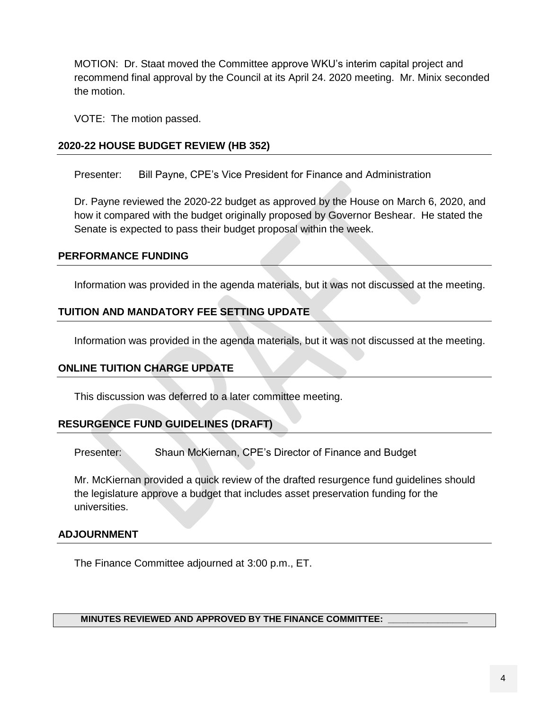MOTION: Dr. Staat moved the Committee approve WKU's interim capital project and recommend final approval by the Council at its April 24. 2020 meeting. Mr. Minix seconded the motion.

VOTE: The motion passed.

#### **2020-22 HOUSE BUDGET REVIEW (HB 352)**

Presenter: Bill Payne, CPE's Vice President for Finance and Administration

Dr. Payne reviewed the 2020-22 budget as approved by the House on March 6, 2020, and how it compared with the budget originally proposed by Governor Beshear. He stated the Senate is expected to pass their budget proposal within the week.

#### **PERFORMANCE FUNDING**

Information was provided in the agenda materials, but it was not discussed at the meeting.

#### **TUITION AND MANDATORY FEE SETTING UPDATE**

Information was provided in the agenda materials, but it was not discussed at the meeting.

#### **ONLINE TUITION CHARGE UPDATE**

This discussion was deferred to a later committee meeting.

#### **RESURGENCE FUND GUIDELINES (DRAFT)**

Presenter: Shaun McKiernan, CPE's Director of Finance and Budget

Mr. McKiernan provided a quick review of the drafted resurgence fund guidelines should the legislature approve a budget that includes asset preservation funding for the universities.

#### **ADJOURNMENT**

The Finance Committee adjourned at 3:00 p.m., ET.

#### **MINUTES REVIEWED AND APPROVED BY THE FINANCE COMMITTEE: \_\_\_\_\_\_\_\_\_\_\_\_\_\_\_\_**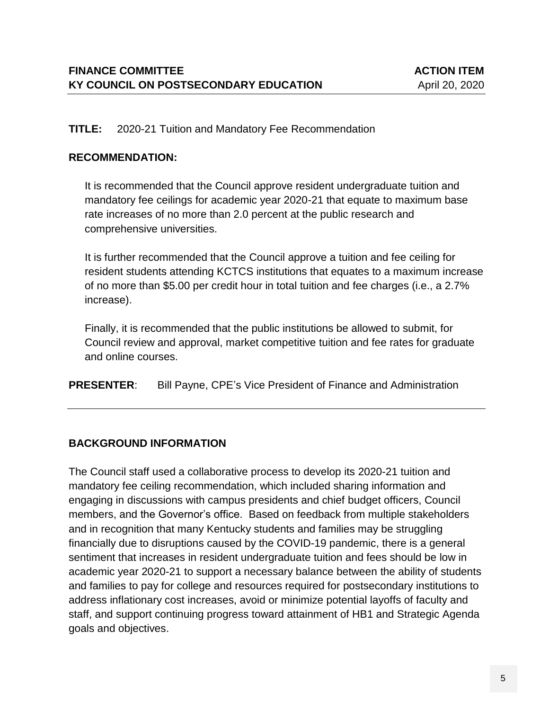#### **TITLE:** 2020-21 Tuition and Mandatory Fee Recommendation

#### **RECOMMENDATION:**

It is recommended that the Council approve resident undergraduate tuition and mandatory fee ceilings for academic year 2020-21 that equate to maximum base rate increases of no more than 2.0 percent at the public research and comprehensive universities.

It is further recommended that the Council approve a tuition and fee ceiling for resident students attending KCTCS institutions that equates to a maximum increase of no more than \$5.00 per credit hour in total tuition and fee charges (i.e., a 2.7% increase).

Finally, it is recommended that the public institutions be allowed to submit, for Council review and approval, market competitive tuition and fee rates for graduate and online courses.

**PRESENTER:** Bill Payne, CPE's Vice President of Finance and Administration

#### **BACKGROUND INFORMATION**

The Council staff used a collaborative process to develop its 2020-21 tuition and mandatory fee ceiling recommendation, which included sharing information and engaging in discussions with campus presidents and chief budget officers, Council members, and the Governor's office. Based on feedback from multiple stakeholders and in recognition that many Kentucky students and families may be struggling financially due to disruptions caused by the COVID-19 pandemic, there is a general sentiment that increases in resident undergraduate tuition and fees should be low in academic year 2020-21 to support a necessary balance between the ability of students and families to pay for college and resources required for postsecondary institutions to address inflationary cost increases, avoid or minimize potential layoffs of faculty and staff, and support continuing progress toward attainment of HB1 and Strategic Agenda goals and objectives.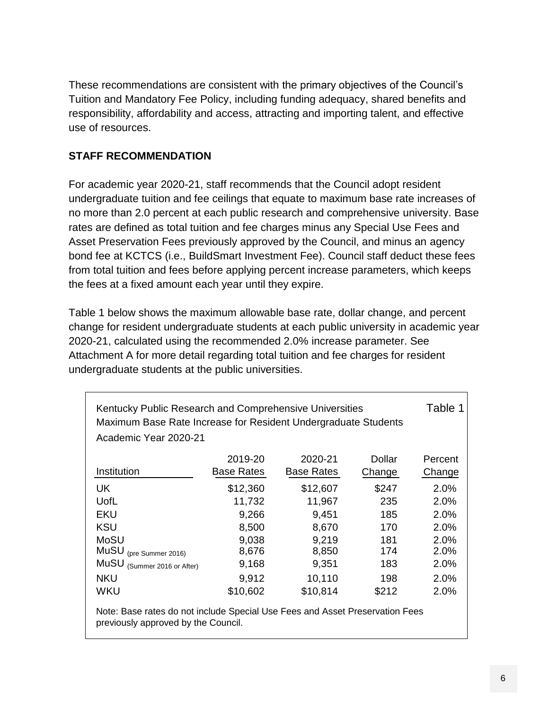These recommendations are consistent with the primary objectives of the Council's Tuition and Mandatory Fee Policy, including funding adequacy, shared benefits and responsibility, affordability and access, attracting and importing talent, and effective use of resources.

## **STAFF RECOMMENDATION**

For academic year 2020-21, staff recommends that the Council adopt resident undergraduate tuition and fee ceilings that equate to maximum base rate increases of no more than 2.0 percent at each public research and comprehensive university. Base rates are defined as total tuition and fee charges minus any Special Use Fees and Asset Preservation Fees previously approved by the Council, and minus an agency bond fee at KCTCS (i.e., BuildSmart Investment Fee). Council staff deduct these fees from total tuition and fees before applying percent increase parameters, which keeps the fees at a fixed amount each year until they expire.

Table 1 below shows the maximum allowable base rate, dollar change, and percent change for resident undergraduate students at each public university in academic year 2020-21, calculated using the recommended 2.0% increase parameter. See Attachment A for more detail regarding total tuition and fee charges for resident undergraduate students at the public universities.

| Academic Year 2020-21          |                   |                   |        |         |
|--------------------------------|-------------------|-------------------|--------|---------|
|                                | 2019-20           | 2020-21           | Dollar | Percent |
| Institution                    | <b>Base Rates</b> | <b>Base Rates</b> | Change | Change  |
| UK                             | \$12,360          | \$12,607          | \$247  | 2.0%    |
| <b>UofL</b>                    | 11,732            | 11,967            | 235    | 2.0%    |
| <b>EKU</b>                     | 9,266             | 9,451             | 185    | 2.0%    |
| <b>KSU</b>                     | 8,500             | 8,670             | 170    | 2.0%    |
| MoSU                           | 9,038             | 9,219             | 181    | 2.0%    |
| MuSU<br>(pre Summer 2016)      | 8,676             | 8,850             | 174    | 2.0%    |
| MuSU<br>(Summer 2016 or After) | 9,168             | 9,351             | 183    | 2.0%    |
| <b>NKU</b>                     | 9,912             | 10,110            | 198    | 2.0%    |
| <b>WKU</b>                     | \$10,602          | \$10,814          | \$212  | 2.0%    |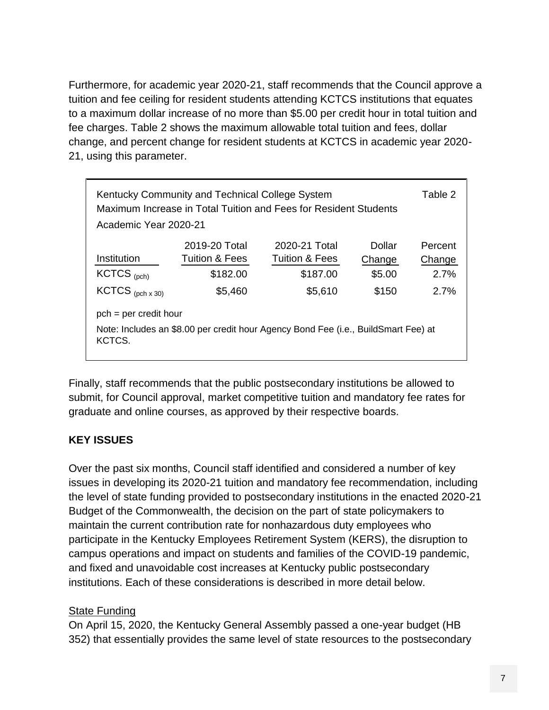Furthermore, for academic year 2020-21, staff recommends that the Council approve a tuition and fee ceiling for resident students attending KCTCS institutions that equates to a maximum dollar increase of no more than \$5.00 per credit hour in total tuition and fee charges. Table 2 shows the maximum allowable total tuition and fees, dollar change, and percent change for resident students at KCTCS in academic year 2020- 21, using this parameter.

| Table 2<br>Kentucky Community and Technical College System<br>Maximum Increase in Total Tuition and Fees for Resident Students<br>Academic Year 2020-21 |                           |                           |        |         |  |  |
|---------------------------------------------------------------------------------------------------------------------------------------------------------|---------------------------|---------------------------|--------|---------|--|--|
|                                                                                                                                                         | 2019-20 Total             | 2020-21 Total             | Dollar | Percent |  |  |
| Institution                                                                                                                                             | <b>Tuition &amp; Fees</b> | <b>Tuition &amp; Fees</b> | Change | Change  |  |  |
| $KCTCS$ (pch)                                                                                                                                           | \$182.00                  | \$187.00                  | \$5.00 | 2.7%    |  |  |
| $KCTCS$ (pch x 30)                                                                                                                                      | \$5,460                   | \$5,610                   | \$150  | 2.7%    |  |  |
| $pch = per credit hour$                                                                                                                                 |                           |                           |        |         |  |  |
| Note: Includes an \$8.00 per credit hour Agency Bond Fee (i.e., BuildSmart Fee) at<br>KCTCS.                                                            |                           |                           |        |         |  |  |

Finally, staff recommends that the public postsecondary institutions be allowed to submit, for Council approval, market competitive tuition and mandatory fee rates for graduate and online courses, as approved by their respective boards.

## **KEY ISSUES**

Over the past six months, Council staff identified and considered a number of key issues in developing its 2020-21 tuition and mandatory fee recommendation, including the level of state funding provided to postsecondary institutions in the enacted 2020-21 Budget of the Commonwealth, the decision on the part of state policymakers to maintain the current contribution rate for nonhazardous duty employees who participate in the Kentucky Employees Retirement System (KERS), the disruption to campus operations and impact on students and families of the COVID-19 pandemic, and fixed and unavoidable cost increases at Kentucky public postsecondary institutions. Each of these considerations is described in more detail below.

#### **State Funding**

On April 15, 2020, the Kentucky General Assembly passed a one-year budget (HB 352) that essentially provides the same level of state resources to the postsecondary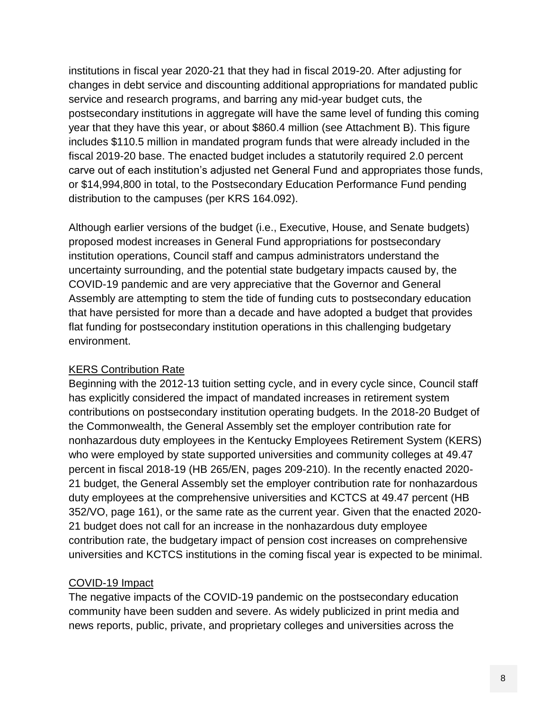institutions in fiscal year 2020-21 that they had in fiscal 2019-20. After adjusting for changes in debt service and discounting additional appropriations for mandated public service and research programs, and barring any mid-year budget cuts, the postsecondary institutions in aggregate will have the same level of funding this coming year that they have this year, or about \$860.4 million (see Attachment B). This figure includes \$110.5 million in mandated program funds that were already included in the fiscal 2019-20 base. The enacted budget includes a statutorily required 2.0 percent carve out of each institution's adjusted net General Fund and appropriates those funds, or \$14,994,800 in total, to the Postsecondary Education Performance Fund pending distribution to the campuses (per KRS 164.092).

Although earlier versions of the budget (i.e., Executive, House, and Senate budgets) proposed modest increases in General Fund appropriations for postsecondary institution operations, Council staff and campus administrators understand the uncertainty surrounding, and the potential state budgetary impacts caused by, the COVID-19 pandemic and are very appreciative that the Governor and General Assembly are attempting to stem the tide of funding cuts to postsecondary education that have persisted for more than a decade and have adopted a budget that provides flat funding for postsecondary institution operations in this challenging budgetary environment.

#### KERS Contribution Rate

Beginning with the 2012-13 tuition setting cycle, and in every cycle since, Council staff has explicitly considered the impact of mandated increases in retirement system contributions on postsecondary institution operating budgets. In the 2018-20 Budget of the Commonwealth, the General Assembly set the employer contribution rate for nonhazardous duty employees in the Kentucky Employees Retirement System (KERS) who were employed by state supported universities and community colleges at 49.47 percent in fiscal 2018-19 (HB 265/EN, pages 209-210). In the recently enacted 2020- 21 budget, the General Assembly set the employer contribution rate for nonhazardous duty employees at the comprehensive universities and KCTCS at 49.47 percent (HB 352/VO, page 161), or the same rate as the current year. Given that the enacted 2020- 21 budget does not call for an increase in the nonhazardous duty employee contribution rate, the budgetary impact of pension cost increases on comprehensive universities and KCTCS institutions in the coming fiscal year is expected to be minimal.

# COVID-19 Impact

The negative impacts of the COVID-19 pandemic on the postsecondary education community have been sudden and severe. As widely publicized in print media and news reports, public, private, and proprietary colleges and universities across the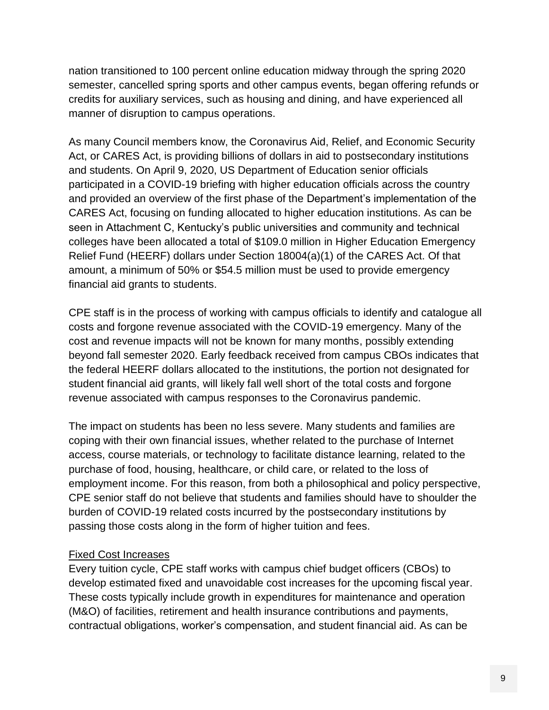nation transitioned to 100 percent online education midway through the spring 2020 semester, cancelled spring sports and other campus events, began offering refunds or credits for auxiliary services, such as housing and dining, and have experienced all manner of disruption to campus operations.

As many Council members know, the Coronavirus Aid, Relief, and Economic Security Act, or CARES Act, is providing billions of dollars in aid to postsecondary institutions and students. On April 9, 2020, US Department of Education senior officials participated in a COVID-19 briefing with higher education officials across the country and provided an overview of the first phase of the Department's implementation of the CARES Act, focusing on funding allocated to higher education institutions. As can be seen in Attachment C, Kentucky's public universities and community and technical colleges have been allocated a total of \$109.0 million in Higher Education Emergency Relief Fund (HEERF) dollars under Section 18004(a)(1) of the CARES Act. Of that amount, a minimum of 50% or \$54.5 million must be used to provide emergency financial aid grants to students.

CPE staff is in the process of working with campus officials to identify and catalogue all costs and forgone revenue associated with the COVID-19 emergency. Many of the cost and revenue impacts will not be known for many months, possibly extending beyond fall semester 2020. Early feedback received from campus CBOs indicates that the federal HEERF dollars allocated to the institutions, the portion not designated for student financial aid grants, will likely fall well short of the total costs and forgone revenue associated with campus responses to the Coronavirus pandemic.

The impact on students has been no less severe. Many students and families are coping with their own financial issues, whether related to the purchase of Internet access, course materials, or technology to facilitate distance learning, related to the purchase of food, housing, healthcare, or child care, or related to the loss of employment income. For this reason, from both a philosophical and policy perspective, CPE senior staff do not believe that students and families should have to shoulder the burden of COVID-19 related costs incurred by the postsecondary institutions by passing those costs along in the form of higher tuition and fees.

#### Fixed Cost Increases

Every tuition cycle, CPE staff works with campus chief budget officers (CBOs) to develop estimated fixed and unavoidable cost increases for the upcoming fiscal year. These costs typically include growth in expenditures for maintenance and operation (M&O) of facilities, retirement and health insurance contributions and payments, contractual obligations, worker's compensation, and student financial aid. As can be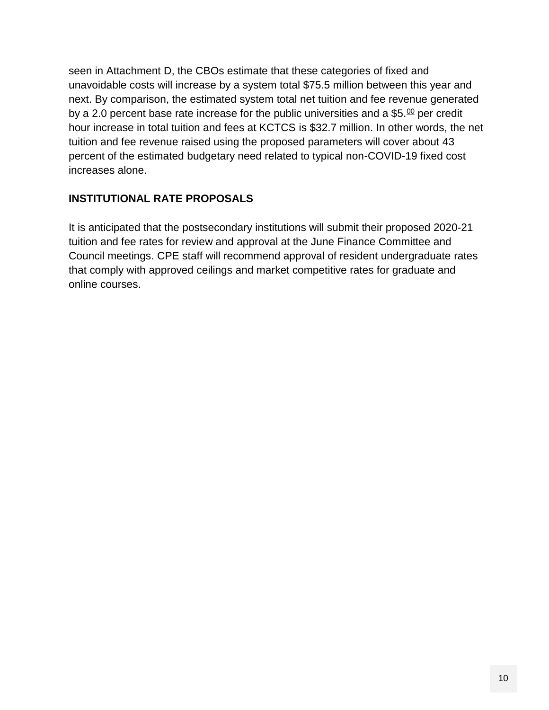seen in Attachment D, the CBOs estimate that these categories of fixed and unavoidable costs will increase by a system total \$75.5 million between this year and next. By comparison, the estimated system total net tuition and fee revenue generated by a 2.0 percent base rate increase for the public universities and a \$5. $^{00}$  per credit hour increase in total tuition and fees at KCTCS is \$32.7 million. In other words, the net tuition and fee revenue raised using the proposed parameters will cover about 43 percent of the estimated budgetary need related to typical non-COVID-19 fixed cost increases alone.

## **INSTITUTIONAL RATE PROPOSALS**

It is anticipated that the postsecondary institutions will submit their proposed 2020-21 tuition and fee rates for review and approval at the June Finance Committee and Council meetings. CPE staff will recommend approval of resident undergraduate rates that comply with approved ceilings and market competitive rates for graduate and online courses.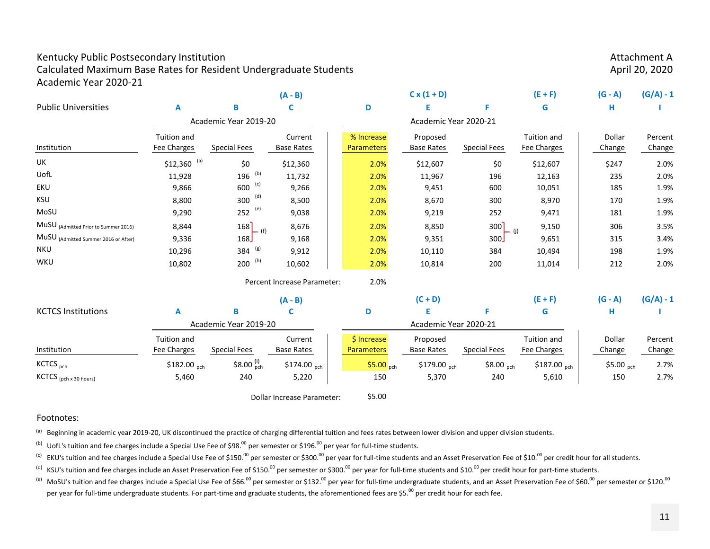#### Kentucky Public Postsecondary Institution **Attachment Attachment Attachment Attachment A**

Calculated Maximum Base Rates for Resident Undergraduate Students April 20, 2020 Academic Year 2020‐21

|                                      |                                   |                              | $(A - B)$                    |                                  | $C x (1 + D)$                 |                       | $(E + F)$                  | $(G - A)$        | $(G/A) - 1$       |
|--------------------------------------|-----------------------------------|------------------------------|------------------------------|----------------------------------|-------------------------------|-----------------------|----------------------------|------------------|-------------------|
| <b>Public Universities</b>           | A                                 | B                            |                              | D                                | Е                             | F                     | G                          | н                |                   |
|                                      |                                   | Academic Year 2019-20        |                              |                                  | Academic Year 2020-21         |                       |                            |                  |                   |
| Institution                          | <b>Tuition and</b><br>Fee Charges | <b>Special Fees</b>          | Current<br><b>Base Rates</b> | % Increase<br><b>Parameters</b>  | Proposed<br><b>Base Rates</b> | <b>Special Fees</b>   | Tuition and<br>Fee Charges | Dollar<br>Change | Percent<br>Change |
|                                      |                                   |                              |                              |                                  |                               |                       |                            |                  |                   |
| UK                                   | $$12,360$ (a)                     | \$0                          | \$12,360                     | 2.0%                             | \$12,607                      | \$0                   | \$12,607                   | \$247            | 2.0%              |
| UofL                                 | 11,928                            | (b)<br>196                   | 11,732                       | 2.0%                             | 11,967                        | 196                   | 12,163                     | 235              | 2.0%              |
| EKU                                  | 9,866                             | (c)<br>600                   | 9,266                        | 2.0%                             | 9,451                         | 600                   | 10,051                     | 185              | 1.9%              |
| KSU                                  | 8,800                             | (d)<br>300                   | 8,500                        | 2.0%                             | 8,670                         | 300                   | 8,970                      | 170              | 1.9%              |
| MoSU                                 | 9,290                             | (e)<br>252                   | 9,038                        | 2.0%                             | 9,219                         | 252                   | 9,471                      | 181              | 1.9%              |
| MuSU (Admitted Prior to Summer 2016) | 8,844                             | 168<br>$-$ (f)               | 8,676                        | 2.0%                             | 8,850                         | 300<br>$-$ (i)        | 9,150                      | 306              | 3.5%              |
| MuSU (Admitted Summer 2016 or After) | 9,336                             | 168                          | 9,168                        | 2.0%                             | 9,351                         | 300                   | 9,651                      | 315              | 3.4%              |
| <b>NKU</b>                           | 10,296                            | (g)<br>384                   | 9,912                        | 2.0%                             | 10,110                        | 384                   | 10,494                     | 198              | 1.9%              |
| WKU                                  | 10,802                            | $200$ (h)                    | 10,602                       | 2.0%                             | 10,814                        | 200                   | 11,014                     | 212              | 2.0%              |
|                                      |                                   |                              | Percent Increase Parameter:  | 2.0%                             |                               |                       |                            |                  |                   |
|                                      |                                   |                              | $(A - B)$                    |                                  | $(C + D)$                     |                       | $(E + F)$                  | $(G - A)$        | $(G/A) - 1$       |
| <b>KCTCS Institutions</b>            | A                                 | B                            |                              | D                                |                               | F.                    | G                          | н                |                   |
| Academic Year 2019-20                |                                   |                              |                              | Academic Year 2020-21            |                               |                       |                            |                  |                   |
| Institution                          | Tuition and<br>Fee Charges        | <b>Special Fees</b>          | Current<br><b>Base Rates</b> | \$ Increase<br><b>Parameters</b> | Proposed<br><b>Base Rates</b> | <b>Special Fees</b>   | Tuition and<br>Fee Charges | Dollar<br>Change | Percent<br>Change |
| KCTCS <sub>pch</sub>                 | \$182.00 pch                      | \$8.00 $_{\text{pch}}^{(i)}$ | \$174.00 pch                 | $$5.00$ <sub>pch</sub>           | \$179.00 $_{\text{pch}}$      | $$8.00_{\text{pch}}$$ | \$187.00 pch               | \$5.00 pch       | 2.7%              |
| KCTCS (pch x 30 hours)               | 5,460                             | 240                          | 5,220                        | 150                              | 5,370                         | 240                   | 5,610                      | 150              | 2.7%              |
|                                      |                                   |                              | Dollar Increase Parameter:   | \$5.00                           |                               |                       |                            |                  |                   |

Dollar Increase Parameter:

#### Footnotes:

<sup>(a)</sup> Beginning in academic year 2019-20, UK discontinued the practice of charging differential tuition and fees rates between lower division and upper division students.

<sup>(b)</sup> UofL's tuition and fee charges include a Special Use Fee of \$98.<sup>00</sup> per semester or \$196.<sup>00</sup> per year for full-time students.

<sup>(c)</sup> EKU's tuition and fee charges include a Special Use Fee of \$150.<sup>00</sup> per semester or \$300.<sup>00</sup> per year for full-time students and an Asset Preservation Fee of \$10.<sup>00</sup> per credit hour for all students.

(d) KSU's tuition and fee charges include an Asset Preservation Fee of \$150.<sup>00</sup> per semester or \$300.<sup>00</sup> per full-time students and \$10.<sup>00</sup> per credit hour for part-time students.

<sup>(e)</sup> MoSU's tuition and fee charges include a Special Use Fee of \$66.<sup>00</sup> per semester or \$132.<sup>00</sup> per year for full-time undergraduate students, and an Asset Preservation Fee of \$60.<sup>00</sup> per semester or \$120.<sup>00</sup> per year for full-time undergraduate students. For part-time and graduate students, the aforementioned fees are \$5.<sup>00</sup> per credit hour for each fee.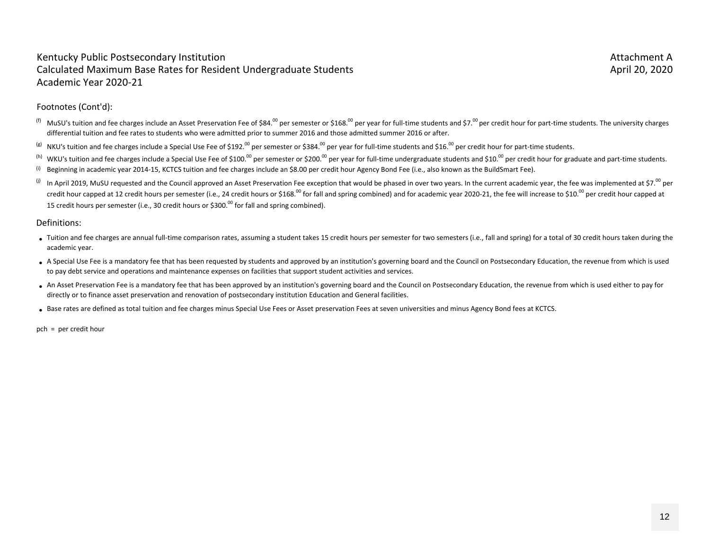#### Kentucky Public Postsecondary Institution **Attachment Attachment Attachment Attachment A** Calculated Maximum Base Rates for Resident Undergraduate Students April 20, 2020 Academic Year 2020‐21

#### Footnotes (Cont'd):

- <sup>(f)</sup> MuSU's tuition and fee charges include an Asset Preservation Fee of \$84.<sup>00</sup> per semester or \$168.<sup>00</sup> per year for full-time students and \$7.<sup>00</sup> per credit hour for part-time students. The university charges differential tuition and fee rates to students who were admitted prior to summer 2016 and those admitted summer 2016 or after.
- $^{(g)}$  NKU's tuition and fee charges include a Special Use Fee of \$192.<sup>00</sup> per semester or \$384.<sup>00</sup> per year for full‐time students and \$16.<sup>00</sup> per credit hour for part‐time students.
- <sup>(h)</sup> WKU's tuition and fee charges include a Special Use Fee of \$100.<sup>00</sup> per semester or \$200.<sup>00</sup> per year for full-time undergraduate students and \$10.<sup>00</sup> per credit hour for graduate and part-time students.
- (i) Beginning in academic year 2014‐15, KCTCS tuition and fee charges include an \$8.00 per credit hour Agency Bond Fee (i.e., also known as the BuildSmart Fee).
- (j) In April 2019, MuSU requested and the Council approved an Asset Preservation Fee exception that would be phased in over two years. In the current academic year, the fee was implemented at \$7.<sup>00</sup> per credit hour capped at 12 credit hours per semester (i.e., 24 credit hours or \$168.<sup>00</sup> for fall and spring combined) and for academic year 2020-21, the fee will increase to \$10.<sup>00</sup> per credit hour capped at 15 credit hours per semester (i.e., 30 credit hours or \$300.<sup>00</sup> for fall and spring combined).

#### Definitions:

- Tuition and fee charges are annual full-time comparison rates, assuming a student takes 15 credit hours per semester for two semesters (i.e., fall and spring) for a total of 30 credit hours taken during the academic year.
- •A Special Use Fee is a mandatory fee that has been requested by students and approved by an institution's governing board and the Council on Postsecondary Education, the revenue from which is used to pay debt service and operations and maintenance expenses on facilities that support student activities and services.
- •An Asset Preservation Fee is a mandatory fee that has been approved by an institution's governing board and the Council on Postsecondary Education, the revenue from which is used either to pay for directly or to finance asset preservation and renovation of postsecondary institution Education and General facilities.
- Base rates are defined as total tuition and fee charges minus Special Use Fees or Asset preservation Fees at seven universities and minus Agency Bond fees at KCTCS.

pch = per credit hour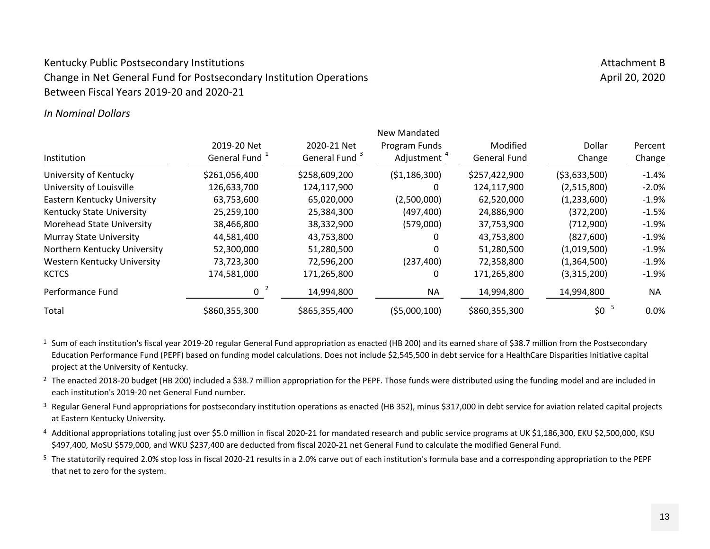## Kentucky Public Postsecondary Institutions Attachment B and the set of the set of the set of the set of the set of the set of the set of the set of the set of the set of the set of the set of the set of the set of the set Change in Net General Fund for Postsecondary Institution Operations April 20, 2020 April 20, 2020 Between Fiscal Years 2019‐20 and 2020‐21

#### *In Nominal Dollars*

|                                  |                |                           | New Mandated            |                     |                |         |
|----------------------------------|----------------|---------------------------|-------------------------|---------------------|----------------|---------|
|                                  | 2019-20 Net    | 2020-21 Net               | Program Funds           | Modified            | Dollar         | Percent |
| Institution                      | General Fund 1 | General Fund <sup>3</sup> | Adjustment <sup>4</sup> | <b>General Fund</b> | Change         | Change  |
| University of Kentucky           | \$261,056,400  | \$258,609,200             | ( \$1,186,300)          | \$257,422,900       | ( \$3,633,500) | $-1.4%$ |
| University of Louisville         | 126,633,700    | 124,117,900               | 0                       | 124,117,900         | (2,515,800)    | $-2.0%$ |
| Eastern Kentucky University      | 63,753,600     | 65,020,000                | (2,500,000)             | 62,520,000          | (1,233,600)    | $-1.9%$ |
| Kentucky State University        | 25,259,100     | 25,384,300                | (497, 400)              | 24,886,900          | (372, 200)     | $-1.5%$ |
| <b>Morehead State University</b> | 38,466,800     | 38,332,900                | (579,000)               | 37,753,900          | (712,900)      | $-1.9%$ |
| <b>Murray State University</b>   | 44,581,400     | 43,753,800                |                         | 43,753,800          | (827, 600)     | $-1.9%$ |
| Northern Kentucky University     | 52,300,000     | 51,280,500                | 0                       | 51,280,500          | (1,019,500)    | $-1.9%$ |
| Western Kentucky University      | 73,723,300     | 72,596,200                | (237, 400)              | 72,358,800          | (1,364,500)    | $-1.9%$ |
| <b>KCTCS</b>                     | 174,581,000    | 171,265,800               | 0                       | 171,265,800         | (3,315,200)    | $-1.9%$ |
| Performance Fund                 | -2<br>U        | 14,994,800                | <b>NA</b>               | 14,994,800          | 14,994,800     | NA.     |
| Total                            | \$860,355,300  | \$865,355,400             | (55,000,100)            | \$860,355,300       | \$0            | $0.0\%$ |

<sup>1</sup> Sum of each institution's fiscal year 2019-20 regular General Fund appropriation as enacted (HB 200) and its earned share of \$38.7 million from the Postsecondary Education Performance Fund (PEPF) based on funding model calculations. Does not include \$2,545,500 in debt service for a HealthCare Disparities Initiative capital project at the University of Kentucky.

<sup>2</sup> The enacted 2018-20 budget (HB 200) included a \$38.7 million appropriation for the PEPF. Those funds were distributed using the funding model and are included in each institution's 2019‐20 net General Fund number.

 $3$  Regular General Fund appropriations for postsecondary institution operations as enacted (HB 352), minus \$317,000 in debt service for aviation related capital projects at Eastern Kentucky University.

4 Additional appropriations totaling just over \$5.0 million in fiscal 2020-21 for mandated research and public service programs at UK \$1,186,300, EKU \$2,500,000, KSU \$497,400, MoSU \$579,000, and WKU \$237,400 are deducted from fiscal 2020‐21 net General Fund to calculate the modified General Fund.

<sup>5</sup> The statutorily required 2.0% stop loss in fiscal 2020-21 results in a 2.0% carve out of each institution's formula base and a corresponding appropriation to the PEPF that net to zero for the system.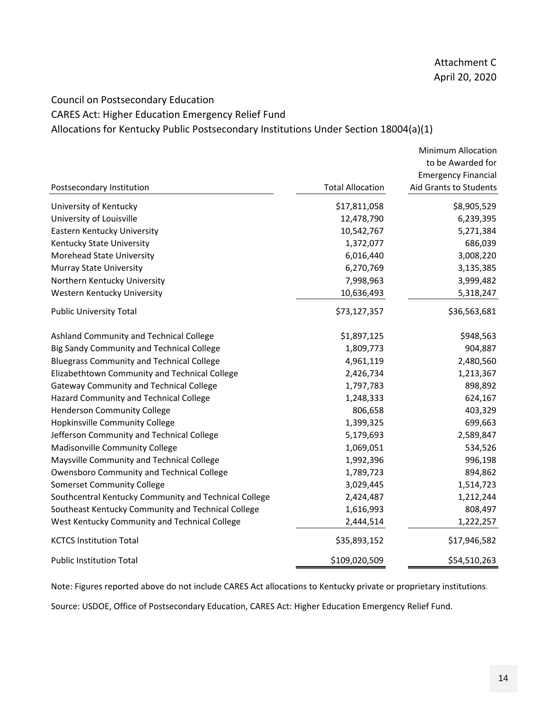# Council on Postsecondary Education CARES Act: Higher Education Emergency Relief Fund

Allocations for Kentucky Public Postsecondary Institutions Under Section 18004(a)(1)

|                                                       |                         | <b>Minimum Allocation</b>  |
|-------------------------------------------------------|-------------------------|----------------------------|
|                                                       |                         | to be Awarded for          |
|                                                       |                         | <b>Emergency Financial</b> |
| Postsecondary Institution                             | <b>Total Allocation</b> | Aid Grants to Students     |
| University of Kentucky                                | \$17,811,058            | \$8,905,529                |
| University of Louisville                              | 12,478,790              | 6,239,395                  |
| Eastern Kentucky University                           | 10,542,767              | 5,271,384                  |
| Kentucky State University                             | 1,372,077               | 686,039                    |
| Morehead State University                             | 6,016,440               | 3,008,220                  |
| <b>Murray State University</b>                        | 6,270,769               | 3,135,385                  |
| Northern Kentucky University                          | 7,998,963               | 3,999,482                  |
| Western Kentucky University                           | 10,636,493              | 5,318,247                  |
| <b>Public University Total</b>                        | \$73,127,357            | \$36,563,681               |
| Ashland Community and Technical College               | \$1,897,125             | \$948,563                  |
| Big Sandy Community and Technical College             | 1,809,773               | 904,887                    |
| <b>Bluegrass Community and Technical College</b>      | 4,961,119               | 2,480,560                  |
| Elizabethtown Community and Technical College         | 2,426,734               | 1,213,367                  |
| <b>Gateway Community and Technical College</b>        | 1,797,783               | 898,892                    |
| Hazard Community and Technical College                | 1,248,333               | 624,167                    |
| Henderson Community College                           | 806,658                 | 403,329                    |
| Hopkinsville Community College                        | 1,399,325               | 699,663                    |
| Jefferson Community and Technical College             | 5,179,693               | 2,589,847                  |
| Madisonville Community College                        | 1,069,051               | 534,526                    |
| Maysville Community and Technical College             | 1,992,396               | 996,198                    |
| Owensboro Community and Technical College             | 1,789,723               | 894,862                    |
| <b>Somerset Community College</b>                     | 3,029,445               | 1,514,723                  |
| Southcentral Kentucky Community and Technical College | 2,424,487               | 1,212,244                  |
| Southeast Kentucky Community and Technical College    | 1,616,993               | 808,497                    |
| West Kentucky Community and Technical College         | 2,444,514               | 1,222,257                  |
| <b>KCTCS Institution Total</b>                        | \$35,893,152            | \$17,946,582               |
| <b>Public Institution Total</b>                       | \$109,020,509           | \$54,510,263               |

Note: Figures reported above do not include CARES Act allocations to Kentucky private or proprietary institutions.

Source: USDOE, Office of Postsecondary Education, CARES Act: Higher Education Emergency Relief Fund.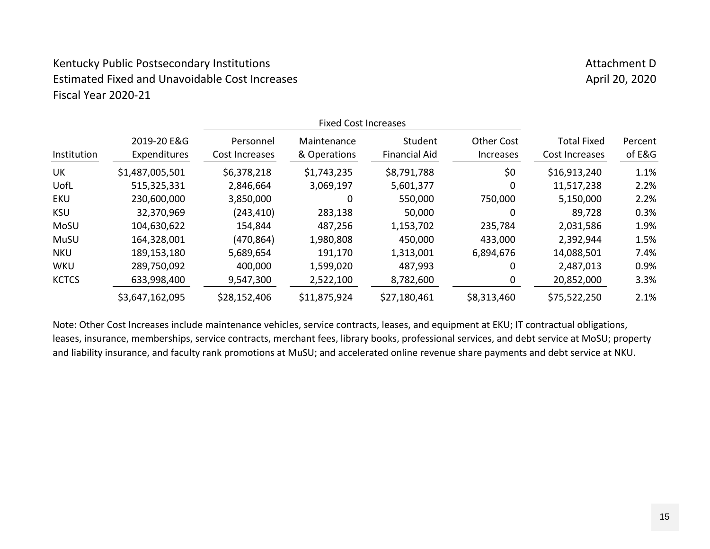# Kentucky Public Postsecondary Institutions Attachment D Attachment D Estimated Fixed and Unavoidable Cost Increases April 20, 2020 Fiscal Year 2020‐21

| Institution  | 2019-20 E&G<br>Expenditures | Personnel<br>Cost Increases | Maintenance<br>& Operations | Student<br><b>Financial Aid</b> | <b>Other Cost</b><br><i><u><b>Increases</b></u></i> | <b>Total Fixed</b><br>Cost Increases | Percent<br>of E&G |
|--------------|-----------------------------|-----------------------------|-----------------------------|---------------------------------|-----------------------------------------------------|--------------------------------------|-------------------|
| UK           | \$1,487,005,501             | \$6,378,218                 | \$1,743,235                 | \$8,791,788                     | \$0                                                 | \$16,913,240                         | 1.1%              |
| UofL         | 515,325,331                 | 2,846,664                   | 3,069,197                   | 5,601,377                       | 0                                                   | 11,517,238                           | 2.2%              |
| EKU          | 230,600,000                 | 3,850,000                   | 0                           | 550,000                         | 750,000                                             | 5,150,000                            | 2.2%              |
| <b>KSU</b>   | 32,370,969                  | (243, 410)                  | 283,138                     | 50,000                          | 0                                                   | 89,728                               | 0.3%              |
| MoSU         | 104,630,622                 | 154,844                     | 487,256                     | 1,153,702                       | 235,784                                             | 2,031,586                            | 1.9%              |
| MuSU         | 164,328,001                 | (470, 864)                  | 1,980,808                   | 450,000                         | 433,000                                             | 2,392,944                            | 1.5%              |
| <b>NKU</b>   | 189,153,180                 | 5,689,654                   | 191,170                     | 1,313,001                       | 6,894,676                                           | 14,088,501                           | 7.4%              |
| <b>WKU</b>   | 289,750,092                 | 400,000                     | 1,599,020                   | 487,993                         | 0                                                   | 2,487,013                            | 0.9%              |
| <b>KCTCS</b> | 633,998,400                 | 9,547,300                   | 2,522,100                   | 8,782,600                       | 0                                                   | 20,852,000                           | 3.3%              |
|              | \$3,647,162,095             | \$28,152,406                | \$11,875,924                | \$27,180,461                    | \$8,313,460                                         | \$75,522,250                         | 2.1%              |

Note: Other Cost Increases include maintenance vehicles, service contracts, leases, and equipment at EKU; IT contractual obligations, leases, insurance, memberships, service contracts, merchant fees, library books, professional services, and debt service at MoSU; property and liability insurance, and faculty rank promotions at MuSU; and accelerated online revenue share payments and debt service at NKU.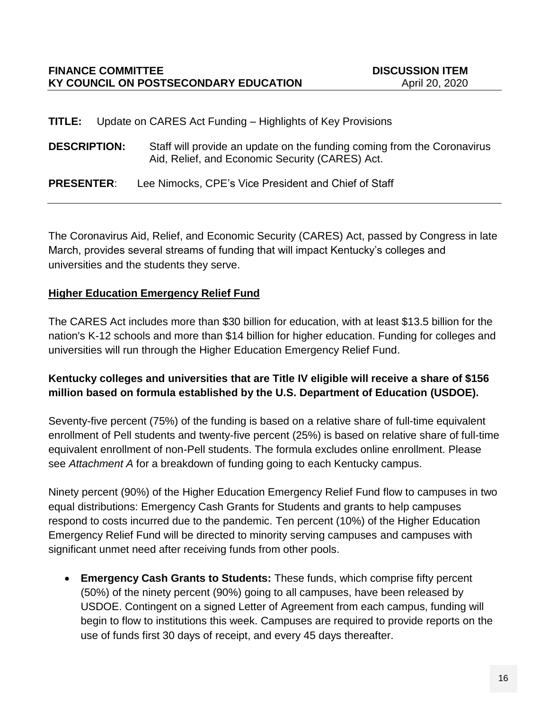**TITLE:** Update on CARES Act Funding – Highlights of Key Provisions

**DESCRIPTION:** Staff will provide an update on the funding coming from the Coronavirus Aid, Relief, and Economic Security (CARES) Act.

**PRESENTER**: Lee Nimocks, CPE's Vice President and Chief of Staff

The Coronavirus Aid, Relief, and Economic Security (CARES) Act, passed by Congress in late March, provides several streams of funding that will impact Kentucky's colleges and universities and the students they serve.

#### **Higher Education Emergency Relief Fund**

The CARES Act includes more than \$30 billion for education, with at least \$13.5 billion for the nation's K-12 schools and more than \$14 billion for higher education. Funding for colleges and universities will run through the Higher Education Emergency Relief Fund.

## **Kentucky colleges and universities that are Title IV eligible will receive a share of \$156 million based on formula established by the U.S. Department of Education (USDOE).**

Seventy-five percent (75%) of the funding is based on a relative share of full-time equivalent enrollment of Pell students and twenty-five percent (25%) is based on relative share of full-time equivalent enrollment of non-Pell students. The formula excludes online enrollment. Please see *Attachment A* for a breakdown of funding going to each Kentucky campus.

Ninety percent (90%) of the Higher Education Emergency Relief Fund flow to campuses in two equal distributions: Emergency Cash Grants for Students and grants to help campuses respond to costs incurred due to the pandemic. Ten percent (10%) of the Higher Education Emergency Relief Fund will be directed to minority serving campuses and campuses with significant unmet need after receiving funds from other pools.

 **Emergency Cash Grants to Students:** These funds, which comprise fifty percent (50%) of the ninety percent (90%) going to all campuses, have been released by USDOE. Contingent on a signed Letter of Agreement from each campus, funding will begin to flow to institutions this week. Campuses are required to provide reports on the use of funds first 30 days of receipt, and every 45 days thereafter.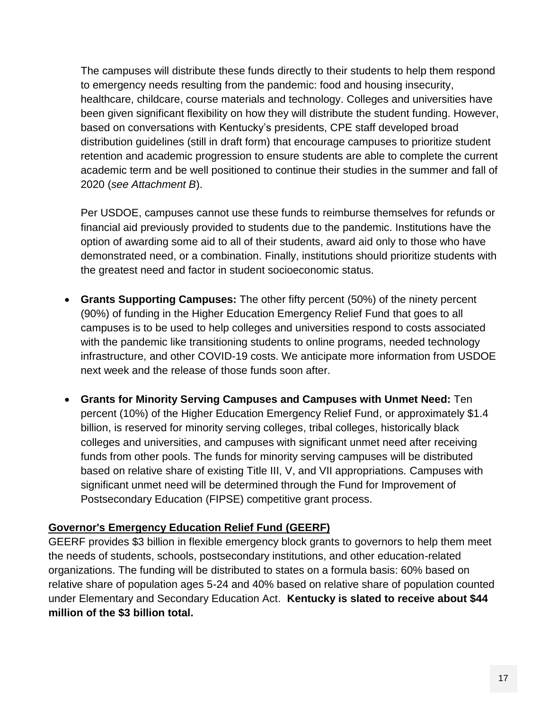The campuses will distribute these funds directly to their students to help them respond to emergency needs resulting from the pandemic: food and housing insecurity, healthcare, childcare, course materials and technology. Colleges and universities have been given significant flexibility on how they will distribute the student funding. However, based on conversations with Kentucky's presidents, CPE staff developed broad distribution guidelines (still in draft form) that encourage campuses to prioritize student retention and academic progression to ensure students are able to complete the current academic term and be well positioned to continue their studies in the summer and fall of 2020 (*see Attachment B*).

Per USDOE, campuses cannot use these funds to reimburse themselves for refunds or financial aid previously provided to students due to the pandemic. Institutions have the option of awarding some aid to all of their students, award aid only to those who have demonstrated need, or a combination. Finally, institutions should prioritize students with the greatest need and factor in student socioeconomic status.

- **Grants Supporting Campuses:** The other fifty percent (50%) of the ninety percent (90%) of funding in the Higher Education Emergency Relief Fund that goes to all campuses is to be used to help colleges and universities respond to costs associated with the pandemic like transitioning students to online programs, needed technology infrastructure, and other COVID-19 costs. We anticipate more information from USDOE next week and the release of those funds soon after.
- **Grants for Minority Serving Campuses and Campuses with Unmet Need:** Ten percent (10%) of the Higher Education Emergency Relief Fund, or approximately \$1.4 billion, is reserved for minority serving colleges, tribal colleges, historically black colleges and universities, and campuses with significant unmet need after receiving funds from other pools. The funds for minority serving campuses will be distributed based on relative share of existing Title III, V, and VII appropriations. Campuses with significant unmet need will be determined through the Fund for Improvement of Postsecondary Education (FIPSE) competitive grant process.

## **Governor's Emergency Education Relief Fund (GEERF)**

GEERF provides \$3 billion in flexible emergency block grants to governors to help them meet the needs of students, schools, postsecondary institutions, and other education-related organizations. The funding will be distributed to states on a formula basis: 60% based on relative share of population ages 5-24 and 40% based on relative share of population counted under Elementary and Secondary Education Act. **Kentucky is slated to receive about \$44 million of the \$3 billion total.**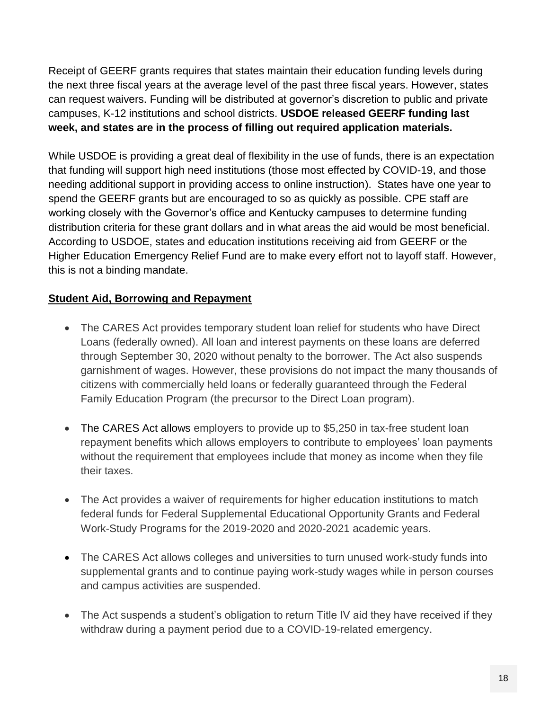Receipt of GEERF grants requires that states maintain their education funding levels during the next three fiscal years at the average level of the past three fiscal years. However, states can request waivers. Funding will be distributed at governor's discretion to public and private campuses, K-12 institutions and school districts. **USDOE released GEERF funding last week, and states are in the process of filling out required application materials.**

While USDOE is providing a great deal of flexibility in the use of funds, there is an expectation that funding will support high need institutions (those most effected by COVID-19, and those needing additional support in providing access to online instruction). States have one year to spend the GEERF grants but are encouraged to so as quickly as possible. CPE staff are working closely with the Governor's office and Kentucky campuses to determine funding distribution criteria for these grant dollars and in what areas the aid would be most beneficial. According to USDOE, states and education institutions receiving aid from GEERF or the Higher Education Emergency Relief Fund are to make every effort not to layoff staff. However, this is not a binding mandate.

## **Student Aid, Borrowing and Repayment**

- The CARES Act provides temporary student loan relief for students who have Direct Loans (federally owned). All loan and interest payments on these loans are deferred through September 30, 2020 without penalty to the borrower. The Act also suspends garnishment of wages. However, these provisions do not impact the many thousands of citizens with commercially held loans or federally guaranteed through the Federal Family Education Program (the precursor to the Direct Loan program).
- The CARES Act allows employers to provide up to \$5,250 in tax-free student loan repayment benefits which allows employers to contribute to employees' loan payments without the requirement that employees include that money as income when they file their taxes.
- The Act provides a waiver of requirements for higher education institutions to match federal funds for Federal Supplemental Educational Opportunity Grants and Federal Work-Study Programs for the 2019-2020 and 2020-2021 academic years.
- The CARES Act allows colleges and universities to turn unused work-study funds into supplemental grants and to continue paying work-study wages while in person courses and campus activities are suspended.
- The Act suspends a student's obligation to return Title IV aid they have received if they withdraw during a payment period due to a COVID-19-related emergency.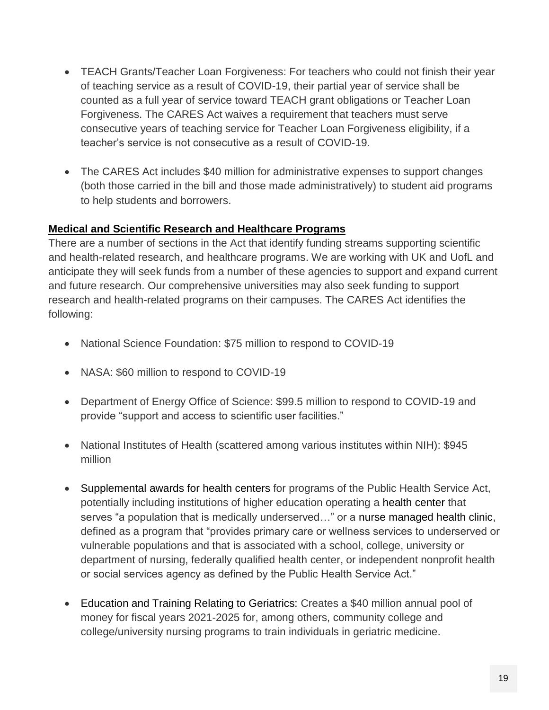- TEACH Grants/Teacher Loan Forgiveness: For teachers who could not finish their year of teaching service as a result of COVID-19, their partial year of service shall be counted as a full year of service toward TEACH grant obligations or Teacher Loan Forgiveness. The CARES Act waives a requirement that teachers must serve consecutive years of teaching service for Teacher Loan Forgiveness eligibility, if a teacher's service is not consecutive as a result of COVID-19.
- The CARES Act includes \$40 million for administrative expenses to support changes (both those carried in the bill and those made administratively) to student aid programs to help students and borrowers.

#### **Medical and Scientific Research and Healthcare Programs**

There are a number of sections in the Act that identify funding streams supporting scientific and health-related research, and healthcare programs. We are working with UK and UofL and anticipate they will seek funds from a number of these agencies to support and expand current and future research. Our comprehensive universities may also seek funding to support research and health-related programs on their campuses. The CARES Act identifies the following:

- National Science Foundation: \$75 million to respond to COVID-19
- NASA: \$60 million to respond to COVID-19
- Department of Energy Office of Science: \$99.5 million to respond to COVID-19 and provide "support and access to scientific user facilities."
- National Institutes of Health (scattered among various institutes within NIH): \$945 million
- Supplemental awards for health centers for programs of the Public Health Service Act, potentially including institutions of higher education operating a health center that serves "a population that is medically underserved…" or a nurse managed health clinic, defined as a program that "provides primary care or wellness services to underserved or vulnerable populations and that is associated with a school, college, university or department of nursing, federally qualified health center, or independent nonprofit health or social services agency as defined by the Public Health Service Act."
- Education and Training Relating to Geriatrics: Creates a \$40 million annual pool of money for fiscal years 2021-2025 for, among others, community college and college/university nursing programs to train individuals in geriatric medicine.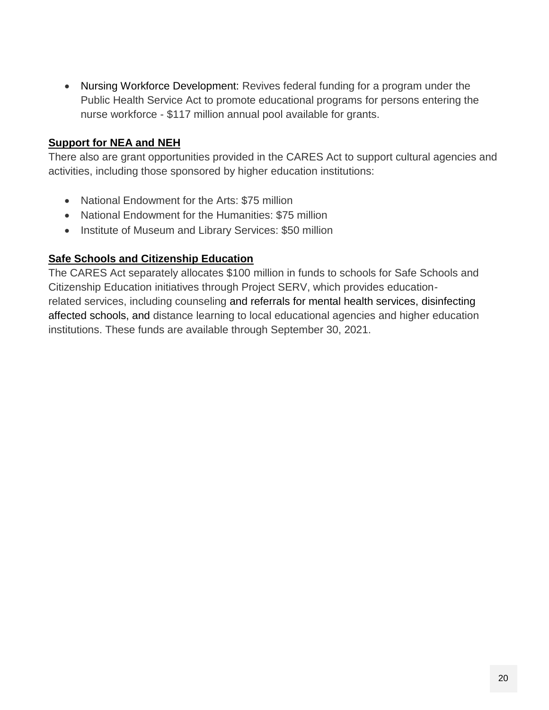Nursing Workforce Development: Revives federal funding for a program under the Public Health Service Act to promote educational programs for persons entering the nurse workforce - \$117 million annual pool available for grants.

## **Support for NEA and NEH**

There also are grant opportunities provided in the CARES Act to support cultural agencies and activities, including those sponsored by higher education institutions:

- National Endowment for the Arts: \$75 million
- National Endowment for the Humanities: \$75 million
- Institute of Museum and Library Services: \$50 million

#### **Safe Schools and Citizenship Education**

The CARES Act separately allocates \$100 million in funds to schools for Safe Schools and Citizenship Education initiatives through Project SERV, which provides educationrelated services, including counseling and referrals for mental health services, disinfecting affected schools, and distance learning to local educational agencies and higher education institutions. These funds are available through September 30, 2021.